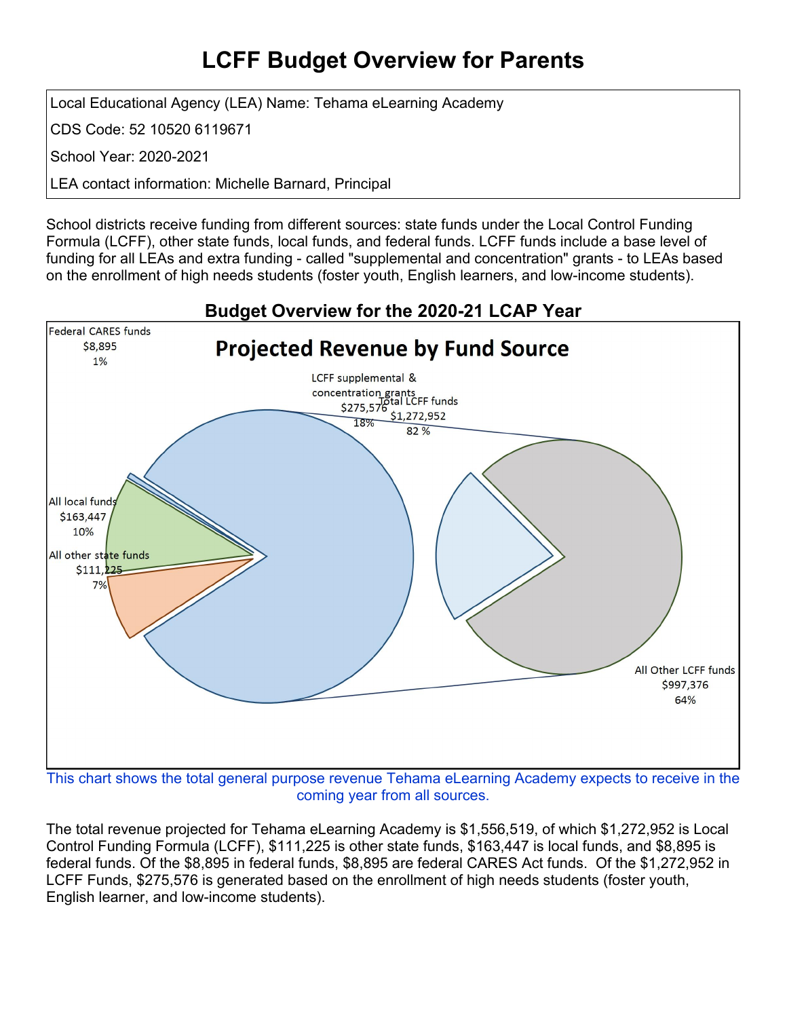## **LCFF Budget Overview for Parents**

Local Educational Agency (LEA) Name: Tehama eLearning Academy

CDS Code: 52 10520 6119671

School Year: 2020-2021

LEA contact information: Michelle Barnard, Principal

School districts receive funding from different sources: state funds under the Local Control Funding Formula (LCFF), other state funds, local funds, and federal funds. LCFF funds include a base level of funding for all LEAs and extra funding - called "supplemental and concentration" grants - to LEAs based on the enrollment of high needs students (foster youth, English learners, and low-income students).



This chart shows the total general purpose revenue Tehama eLearning Academy expects to receive in the coming year from all sources.

The total revenue projected for Tehama eLearning Academy is \$1,556,519, of which \$1,272,952 is Local Control Funding Formula (LCFF), \$111,225 is other state funds, \$163,447 is local funds, and \$8,895 is federal funds. Of the \$8,895 in federal funds, \$8,895 are federal CARES Act funds. Of the \$1,272,952 in LCFF Funds, \$275,576 is generated based on the enrollment of high needs students (foster youth, English learner, and low-income students).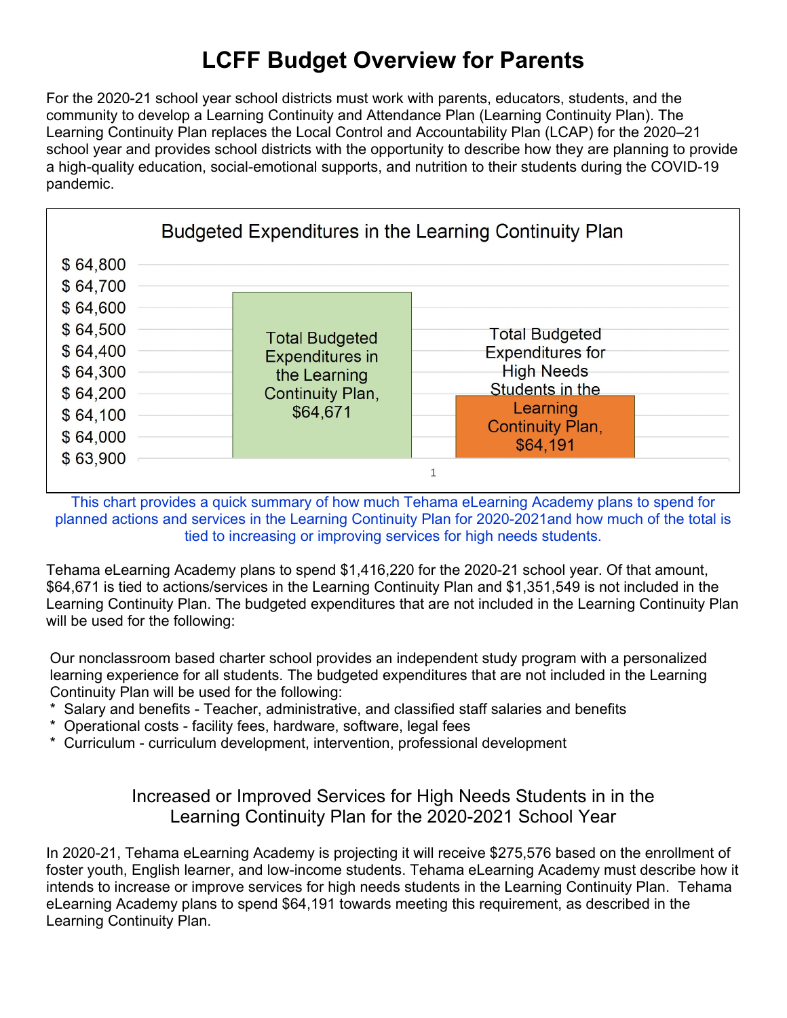# **LCFF Budget Overview for Parents**

For the 2020-21 school year school districts must work with parents, educators, students, and the community to develop a Learning Continuity and Attendance Plan (Learning Continuity Plan). The Learning Continuity Plan replaces the Local Control and Accountability Plan (LCAP) for the 2020–21 school year and provides school districts with the opportunity to describe how they are planning to provide a high-quality education, social-emotional supports, and nutrition to their students during the COVID-19 pandemic.



This chart provides a quick summary of how much Tehama eLearning Academy plans to spend for planned actions and services in the Learning Continuity Plan for 2020-2021and how much of the total is tied to increasing or improving services for high needs students.

Tehama eLearning Academy plans to spend \$1,416,220 for the 2020-21 school year. Of that amount, \$64,671 is tied to actions/services in the Learning Continuity Plan and \$1,351,549 is not included in the Learning Continuity Plan. The budgeted expenditures that are not included in the Learning Continuity Plan will be used for the following:

Our nonclassroom based charter school provides an independent study program with a personalized learning experience for all students. The budgeted expenditures that are not included in the Learning Continuity Plan will be used for the following:

- \* Salary and benefits Teacher, administrative, and classified staff salaries and benefits
- \* Operational costs facility fees, hardware, software, legal fees
- \* Curriculum curriculum development, intervention, professional development

#### Increased or Improved Services for High Needs Students in in the Learning Continuity Plan for the 2020-2021 School Year

In 2020-21, Tehama eLearning Academy is projecting it will receive \$275,576 based on the enrollment of foster youth, English learner, and low-income students. Tehama eLearning Academy must describe how it intends to increase or improve services for high needs students in the Learning Continuity Plan. Tehama eLearning Academy plans to spend \$64,191 towards meeting this requirement, as described in the Learning Continuity Plan.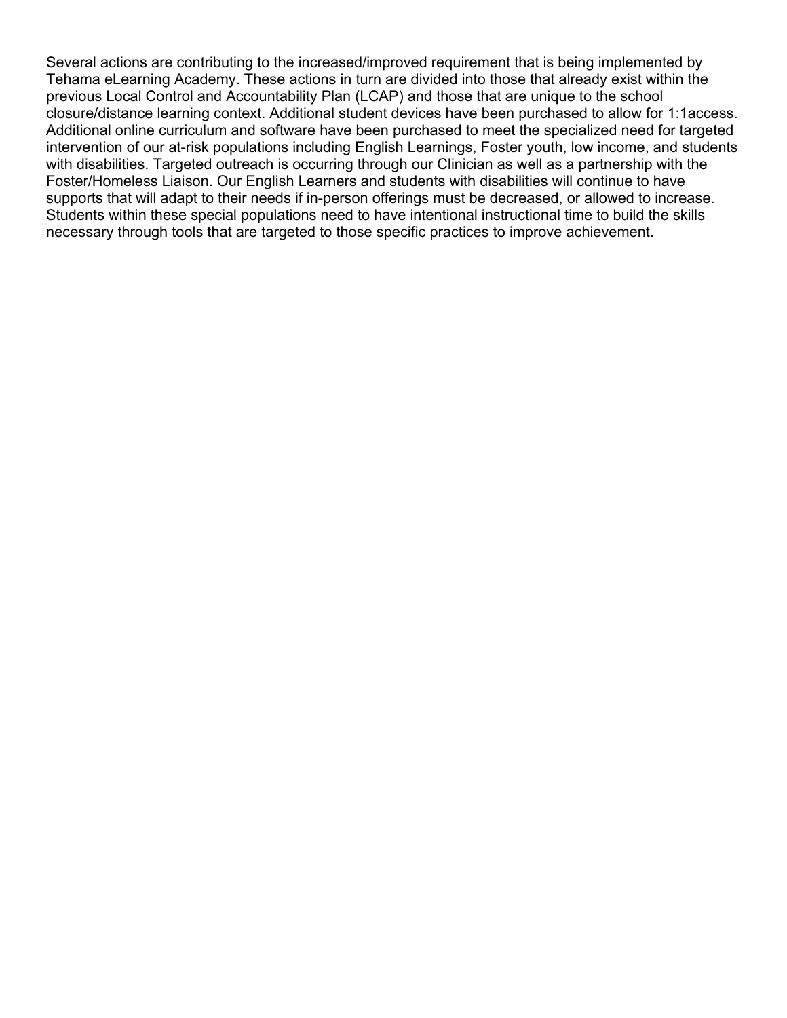Several actions are contributing to the increased/improved requirement that is being implemented by Tehama eLearning Academy. These actions in turn are divided into those that already exist within the previous Local Control and Accountability Plan (LCAP) and those that are unique to the school closure/distance learning context. Additional student devices have been purchased to allow for 1:1access. Additional online curriculum and software have been purchased to meet the specialized need for targeted intervention of our at-risk populations including English Learnings, Foster youth, low income, and students with disabilities. Targeted outreach is occurring through our Clinician as well as a partnership with the Foster/Homeless Liaison. Our English Learners and students with disabilities will continue to have supports that will adapt to their needs if in-person offerings must be decreased, or allowed to increase. Students within these special populations need to have intentional instructional time to build the skills necessary through tools that are targeted to those specific practices to improve achievement.